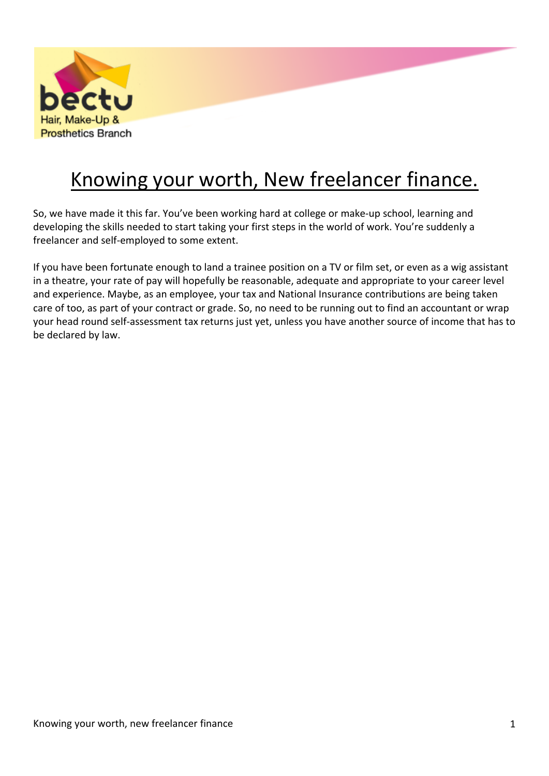

# Knowing your worth, New freelancer finance.

So, we have made it this far. You've been working hard at college or make-up school, learning and developing the skills needed to start taking your first steps in the world of work. You're suddenly a freelancer and self-employed to some extent.

If you have been fortunate enough to land a trainee position on a TV or film set, or even as a wig assistant in a theatre, your rate of pay will hopefully be reasonable, adequate and appropriate to your career level and experience. Maybe, as an employee, your tax and National Insurance contributions are being taken care of too, as part of your contract or grade. So, no need to be running out to find an accountant or wrap your head round self-assessment tax returns just yet, unless you have another source of income that has to be declared by law.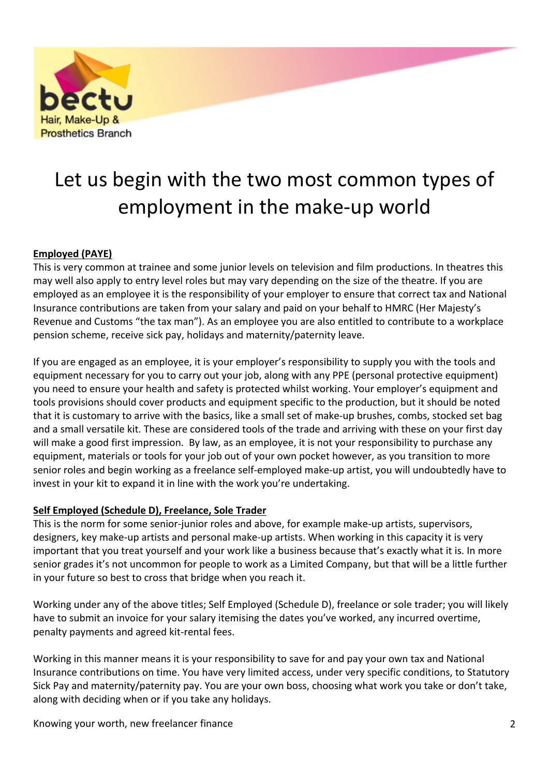

# Let us begin with the two most common types of employment in the make-up world

#### **Employed (PAYE)**

This is very common at trainee and some junior levels on television and film productions. In theatres this may well also apply to entry level roles but may vary depending on the size of the theatre. If you are employed as an employee it is the responsibility of your employer to ensure that correct tax and National Insurance contributions are taken from your salary and paid on your behalf to HMRC (Her Majesty's Revenue and Customs "the tax man"). As an employee you are also entitled to contribute to a workplace pension scheme, receive sick pay, holidays and maternity/paternity leave.

If you are engaged as an employee, it is your employer's responsibility to supply you with the tools and equipment necessary for you to carry out your job, along with any PPE (personal protective equipment) you need to ensure your health and safety is protected whilst working. Your employer's equipment and tools provisions should cover products and equipment specific to the production, but it should be noted that it is customary to arrive with the basics, like a small set of make-up brushes, combs, stocked set bag and a small versatile kit. These are considered tools of the trade and arriving with these on your first day will make a good first impression. By law, as an employee, it is not your responsibility to purchase any equipment, materials or tools for your job out of your own pocket however, as you transition to more senior roles and begin working as a freelance self-employed make-up artist, you will undoubtedly have to invest in your kit to expand it in line with the work you're undertaking.

#### **Self Employed (Schedule D), Freelance, Sole Trader**

This is the norm for some senior-junior roles and above, for example make-up artists, supervisors, designers, key make-up artists and personal make-up artists. When working in this capacity it is very important that you treat yourself and your work like a business because that's exactly what it is. In more senior grades it's not uncommon for people to work as a Limited Company, but that will be a little further in your future so best to cross that bridge when you reach it.

Working under any of the above titles; Self Employed (Schedule D), freelance or sole trader; you will likely have to submit an invoice for your salary itemising the dates you've worked, any incurred overtime, penalty payments and agreed kit-rental fees.

Working in this manner means it is your responsibility to save for and pay your own tax and National Insurance contributions on time. You have very limited access, under very specific conditions, to Statutory Sick Pay and maternity/paternity pay. You are your own boss, choosing what work you take or don't take, along with deciding when or if you take any holidays.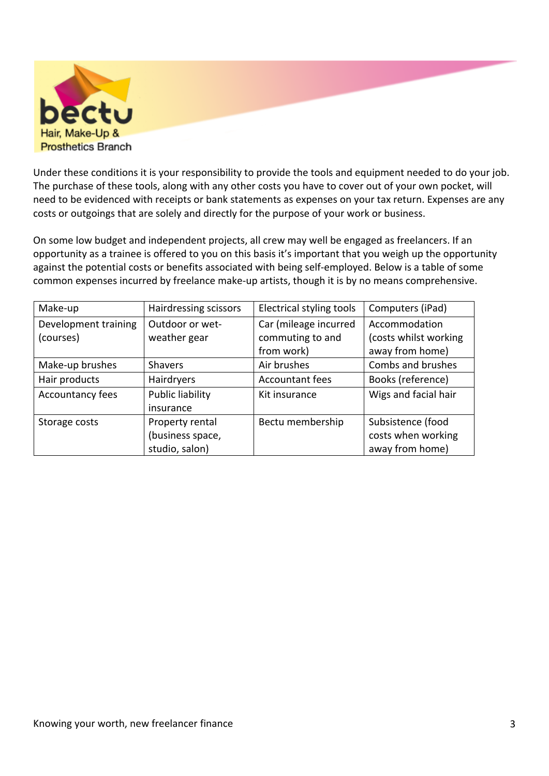

Under these conditions it is your responsibility to provide the tools and equipment needed to do your job. The purchase of these tools, along with any other costs you have to cover out of your own pocket, will need to be evidenced with receipts or bank statements as expenses on your tax return. Expenses are any costs or outgoings that are solely and directly for the purpose of your work or business.

On some low budget and independent projects, all crew may well be engaged as freelancers. If an opportunity as a trainee is offered to you on this basis it's important that you weigh up the opportunity against the potential costs or benefits associated with being self-employed. Below is a table of some common expenses incurred by freelance make-up artists, though it is by no means comprehensive.

| Make-up              | Hairdressing scissors   | Electrical styling tools | Computers (iPad)      |
|----------------------|-------------------------|--------------------------|-----------------------|
| Development training | Outdoor or wet-         | Car (mileage incurred    | Accommodation         |
| (courses)            | weather gear            | commuting to and         | (costs whilst working |
|                      |                         | from work)               | away from home)       |
| Make-up brushes      | <b>Shavers</b>          | Air brushes              | Combs and brushes     |
| Hair products        | Hairdryers              | <b>Accountant fees</b>   | Books (reference)     |
| Accountancy fees     | <b>Public liability</b> | Kit insurance            | Wigs and facial hair  |
|                      | insurance               |                          |                       |
| Storage costs        | Property rental         | Bectu membership         | Subsistence (food     |
|                      | (business space,        |                          | costs when working    |
|                      | studio, salon)          |                          | away from home)       |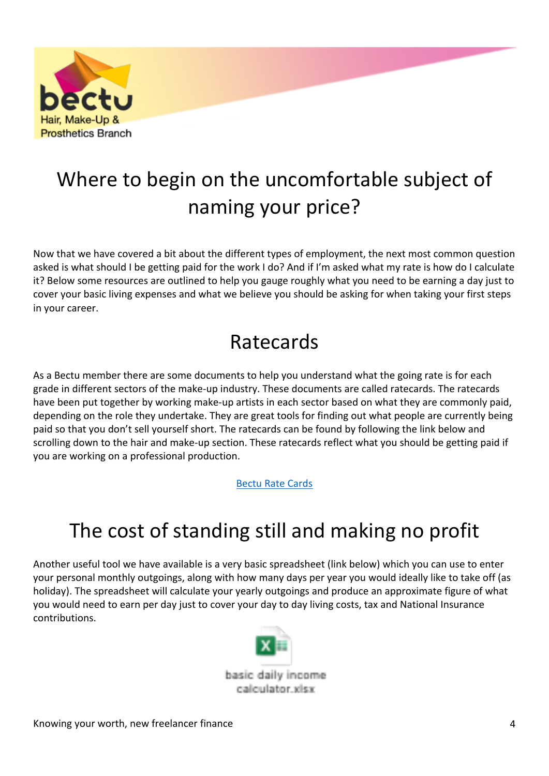

# Where to begin on the uncomfortable subject of naming your price?

Now that we have covered a bit about the different types of employment, the next most common question asked is what should I be getting paid for the work I do? And if I'm asked what my rate is how do I calculate it? Below some resources are outlined to help you gauge roughly what you need to be earning a day just to cover your basic living expenses and what we believe you should be asking for when taking your first steps in your career.

### Ratecards

As a Bectu member there are some documents to help you understand what the going rate is for each grade in different sectors of the make-up industry. These documents are called ratecards. The ratecards have been put together by working make-up artists in each sector based on what they are commonly paid, depending on the role they undertake. They are great tools for finding out what people are currently being paid so that you don't sell yourself short. The ratecards can be found by following the link below and scrolling down to the hair and make-up section. These ratecards reflect what you should be getting paid if you are working on a professional production.

[Bectu](https://hairmakeupbranch.org.uk/rate-cards/) Rate Cards

## The cost of standing still and making no profit

Another useful tool we have available is a very basic spreadsheet (link below) which you can use to enter your personal monthly outgoings, along with how many days per year you would ideally like to take off (as holiday). The spreadsheet will calculate your yearly outgoings and produce an approximate figure of what you would need to earn per day just to cover your day to day living costs, tax and National Insurance contributions.

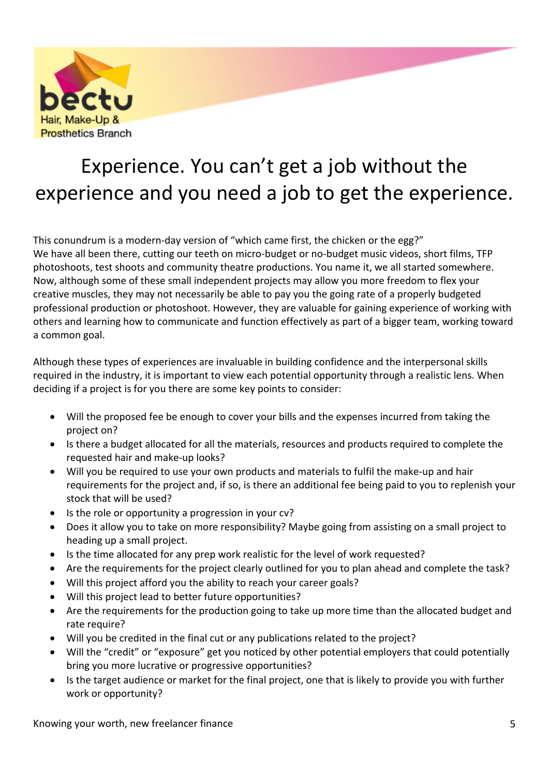

# Experience. You can't get a job without the experience and you need a job to get the experience.

This conundrum is a modern-day version of "which came first, the chicken or the egg?" We have all been there, cutting our teeth on micro-budget or no-budget music videos, short films, TFP photoshoots, test shoots and community theatre productions. You name it, we all started somewhere. Now, although some of these small independent projects may allow you more freedom to flex your creative muscles, they may not necessarily be able to pay you the going rate of a properly budgeted professional production or photoshoot. However, they are valuable for gaining experience of working with others and learning how to communicate and function effectively as part of a bigger team, working toward a common goal.

Although these types of experiences are invaluable in building confidence and the interpersonal skills required in the industry, it is important to view each potential opportunity through a realistic lens. When deciding if a project is for you there are some key points to consider:

- Will the proposed fee be enough to cover your bills and the expenses incurred from taking the project on?
- Is there a budget allocated for all the materials, resources and products required to complete the requested hair and make-up looks?
- Will you be required to use your own products and materials to fulfil the make-up and hair requirements for the project and, if so, is there an additional fee being paid to you to replenish your stock that will be used?
- Is the role or opportunity a progression in your cv?
- Does it allow you to take on more responsibility? Maybe going from assisting on a small project to heading up a small project.
- Is the time allocated for any prep work realistic for the level of work requested?
- Are the requirements for the project clearly outlined for you to plan ahead and complete the task?
- Will this project afford you the ability to reach your career goals?
- Will this project lead to better future opportunities?
- Are the requirements for the production going to take up more time than the allocated budget and rate require?
- Will you be credited in the final cut or any publications related to the project?
- Will the "credit" or "exposure" get you noticed by other potential employers that could potentially bring you more lucrative or progressive opportunities?
- Is the target audience or market for the final project, one that is likely to provide you with further work or opportunity?

Knowing your worth, new freelancer finance 5 and 5 set of the state  $5$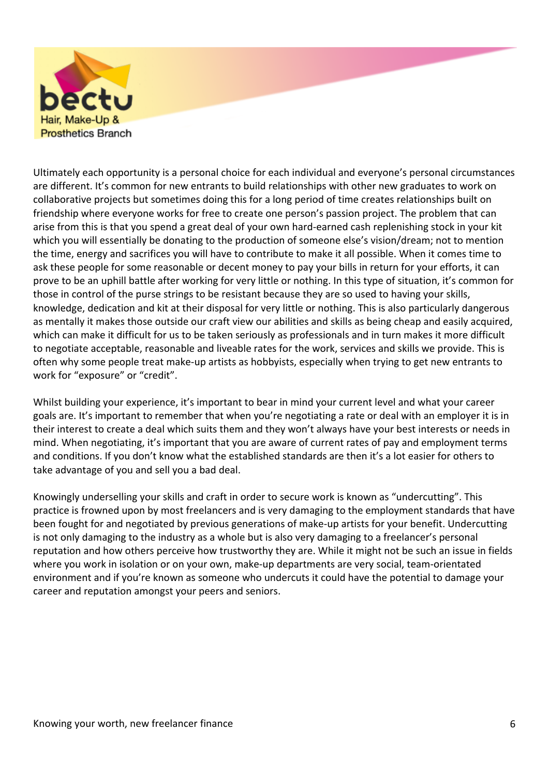

Ultimately each opportunity is a personal choice for each individual and everyone's personal circumstances are different. It's common for new entrants to build relationships with other new graduates to work on collaborative projects but sometimes doing this for a long period of time creates relationships built on friendship where everyone works for free to create one person's passion project. The problem that can arise from this is that you spend a great deal of your own hard-earned cash replenishing stock in your kit which you will essentially be donating to the production of someone else's vision/dream; not to mention the time, energy and sacrifices you will have to contribute to make it all possible. When it comes time to ask these people for some reasonable or decent money to pay your bills in return for your efforts, it can prove to be an uphill battle after working for very little or nothing. In this type of situation, it's common for those in control of the purse strings to be resistant because they are so used to having your skills, knowledge, dedication and kit at their disposal for very little or nothing. This is also particularly dangerous as mentally it makes those outside our craft view our abilities and skills as being cheap and easily acquired, which can make it difficult for us to be taken seriously as professionals and in turn makes it more difficult to negotiate acceptable, reasonable and liveable rates for the work, services and skills we provide. This is often why some people treat make-up artists as hobbyists, especially when trying to get new entrants to work for "exposure" or "credit".

Whilst building your experience, it's important to bear in mind your current level and what your career goals are. It's important to remember that when you're negotiating a rate or deal with an employer it is in their interest to create a deal which suits them and they won't always have your best interests or needs in mind. When negotiating, it's important that you are aware of current rates of pay and employment terms and conditions. If you don't know what the established standards are then it's a lot easier for others to take advantage of you and sell you a bad deal.

Knowingly underselling your skills and craft in order to secure work is known as "undercutting". This practice is frowned upon by most freelancers and is very damaging to the employment standards that have been fought for and negotiated by previous generations of make-up artists for your benefit. Undercutting is not only damaging to the industry as a whole but is also very damaging to a freelancer's personal reputation and how others perceive how trustworthy they are. While it might not be such an issue in fields where you work in isolation or on your own, make-up departments are very social, team-orientated environment and if you're known as someone who undercuts it could have the potential to damage your career and reputation amongst your peers and seniors.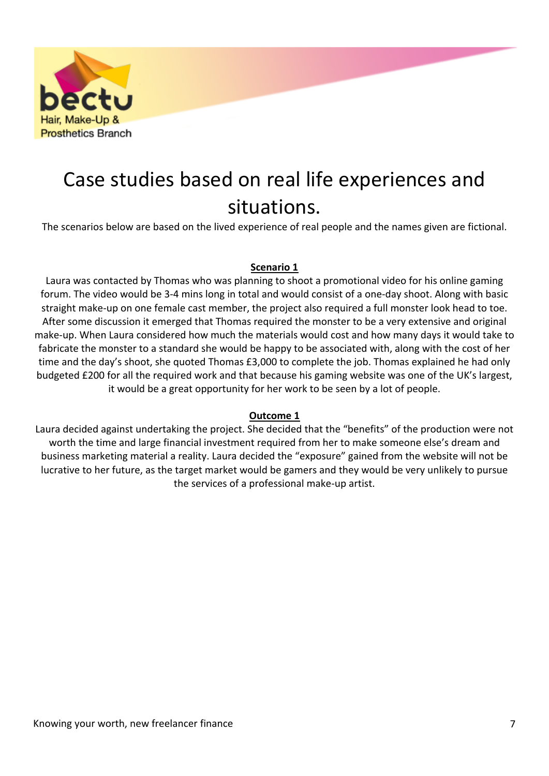

### Case studies based on real life experiences and situations.

The scenarios below are based on the lived experience of real people and the names given are fictional.

#### **Scenario 1**

Laura was contacted by Thomas who was planning to shoot a promotional video for his online gaming forum. The video would be 3-4 mins long in total and would consist of a one-day shoot. Along with basic straight make-up on one female cast member, the project also required a full monster look head to toe. After some discussion it emerged that Thomas required the monster to be a very extensive and original make-up. When Laura considered how much the materials would cost and how many days it would take to fabricate the monster to a standard she would be happy to be associated with, along with the cost of her time and the day's shoot, she quoted Thomas £3,000 to complete the job. Thomas explained he had only budgeted £200 for all the required work and that because his gaming website was one of the UK's largest, it would be a great opportunity for her work to be seen by a lot of people.

#### **Outcome 1**

Laura decided against undertaking the project. She decided that the "benefits" of the production were not worth the time and large financial investment required from her to make someone else's dream and business marketing material a reality. Laura decided the "exposure" gained from the website will not be lucrative to her future, as the target market would be gamers and they would be very unlikely to pursue the services of a professional make-up artist.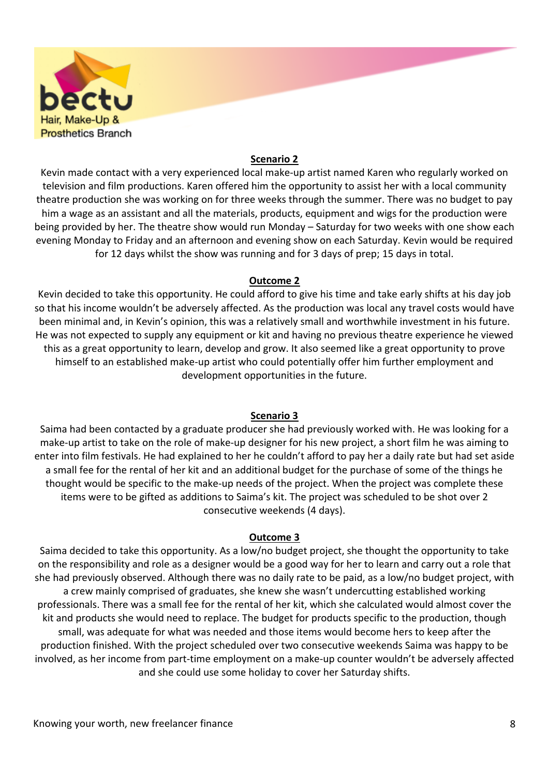

#### **Scenario 2**

Kevin made contact with a very experienced local make-up artist named Karen who regularly worked on television and film productions. Karen offered him the opportunity to assist her with a local community theatre production she was working on for three weeks through the summer. There was no budget to pay him a wage as an assistant and all the materials, products, equipment and wigs for the production were being provided by her. The theatre show would run Monday – Saturday for two weeks with one show each evening Monday to Friday and an afternoon and evening show on each Saturday. Kevin would be required for 12 days whilst the show was running and for 3 days of prep; 15 days in total.

#### **Outcome 2**

Kevin decided to take this opportunity. He could afford to give his time and take early shifts at his day job so that his income wouldn't be adversely affected. As the production was local any travel costs would have been minimal and, in Kevin's opinion, this was a relatively small and worthwhile investment in his future. He was not expected to supply any equipment or kit and having no previous theatre experience he viewed this as a great opportunity to learn, develop and grow. It also seemed like a great opportunity to prove himself to an established make-up artist who could potentially offer him further employment and development opportunities in the future.

#### **Scenario 3**

Saima had been contacted by a graduate producer she had previously worked with. He was looking for a make-up artist to take on the role of make-up designer for his new project, a short film he was aiming to enter into film festivals. He had explained to her he couldn't afford to pay her a daily rate but had set aside a small fee for the rental of her kit and an additional budget for the purchase of some of the things he thought would be specific to the make-up needs of the project. When the project was complete these items were to be gifted as additions to Saima's kit. The project was scheduled to be shot over 2 consecutive weekends (4 days).

#### **Outcome 3**

Saima decided to take this opportunity. As a low/no budget project, she thought the opportunity to take on the responsibility and role as a designer would be a good way for her to learn and carry out a role that she had previously observed. Although there was no daily rate to be paid, as a low/no budget project, with a crew mainly comprised of graduates, she knew she wasn't undercutting established working professionals. There was a small fee for the rental of her kit, which she calculated would almost cover the kit and products she would need to replace. The budget for products specific to the production, though small, was adequate for what was needed and those items would become hers to keep after the production finished. With the project scheduled over two consecutive weekends Saima was happy to be involved, as her income from part-time employment on a make-up counter wouldn't be adversely affected and she could use some holiday to cover her Saturday shifts.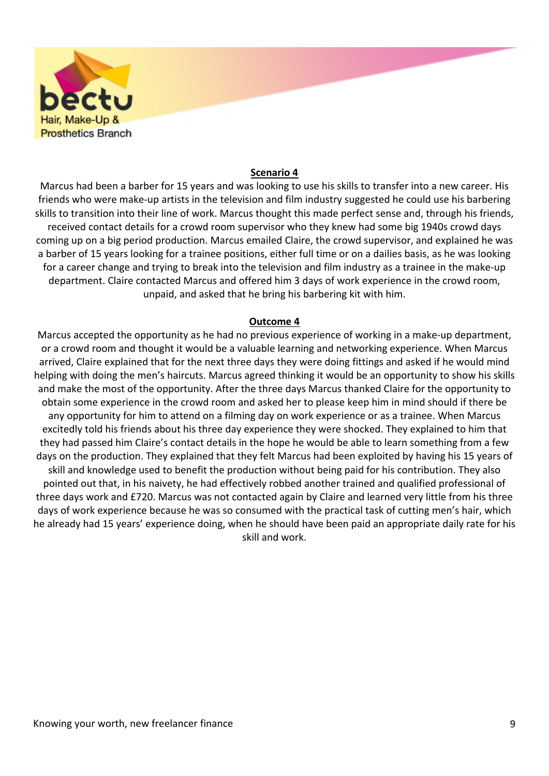

#### **Scenario 4**

Marcus had been a barber for 15 years and was looking to use his skills to transfer into a new career. His friends who were make-up artists in the television and film industry suggested he could use his barbering skills to transition into their line of work. Marcus thought this made perfect sense and, through his friends, received contact details for a crowd room supervisor who they knew had some big 1940s crowd days coming up on a big period production. Marcus emailed Claire, the crowd supervisor, and explained he was a barber of 15 years looking for a trainee positions, either full time or on a dailies basis, as he was looking for a career change and trying to break into the television and film industry as a trainee in the make-up department. Claire contacted Marcus and offered him 3 days of work experience in the crowd room, unpaid, and asked that he bring his barbering kit with him.

#### **Outcome 4**

Marcus accepted the opportunity as he had no previous experience of working in a make-up department, or a crowd room and thought it would be a valuable learning and networking experience. When Marcus arrived, Claire explained that for the next three days they were doing fittings and asked if he would mind helping with doing the men's haircuts. Marcus agreed thinking it would be an opportunity to show his skills and make the most of the opportunity. After the three days Marcus thanked Claire for the opportunity to obtain some experience in the crowd room and asked her to please keep him in mind should if there be any opportunity for him to attend on a filming day on work experience or as a trainee. When Marcus excitedly told his friends about his three day experience they were shocked. They explained to him that they had passed him Claire's contact details in the hope he would be able to learn something from a few days on the production. They explained that they felt Marcus had been exploited by having his 15 years of skill and knowledge used to benefit the production without being paid for his contribution. They also pointed out that, in his naivety, he had effectively robbed another trained and qualified professional of three days work and £720. Marcus was not contacted again by Claire and learned very little from his three days of work experience because he was so consumed with the practical task of cutting men's hair, which he already had 15 years' experience doing, when he should have been paid an appropriate daily rate for his skill and work.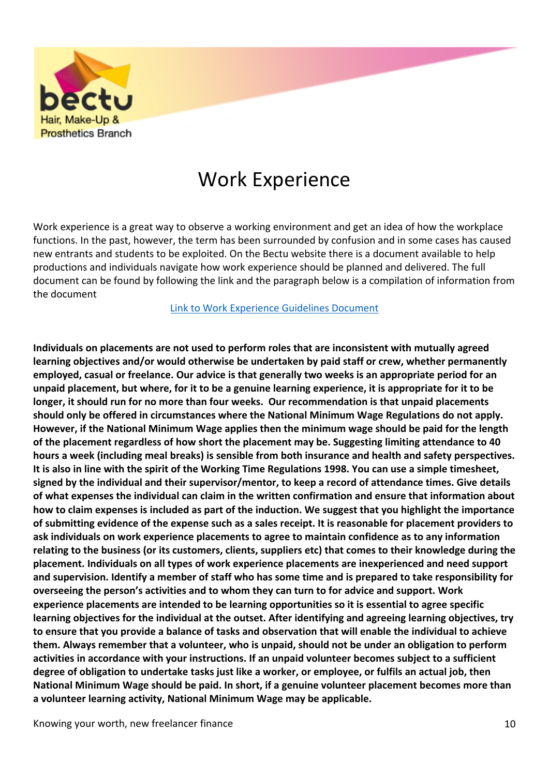

### Work Experience

Work experience is a great way to observe a working environment and get an idea of how the workplace functions. In the past, however, the term has been surrounded by confusion and in some cases has caused new entrants and students to be exploited. On the Bectu website there is a document available to help productions and individuals navigate how work experience should be planned and delivered. The full document can be found by following the link and the paragraph below is a compilation of information from the document

Link to Work [Experience](https://members.bectu.org.uk/advice-resources/library/115) Guidelines Document

**Individuals on placements are not used to perform roles that are inconsistent with mutually agreed learning objectives and/or would otherwise be undertaken by paid staff or crew, whether permanently employed, casual or freelance. Our advice is that generally two weeks is an appropriate period for an** unpaid placement, but where, for it to be a genuine learning experience, it is appropriate for it to be **longer, it should run for no more than four weeks. Our recommendation is that unpaid placements should only be offered in circumstances where the National Minimum Wage Regulations do not apply. However, if the National Minimum Wage applies then the minimum wage should be paid for the length of the placement regardless of how short the placement may be. Suggesting limiting attendance to 40 hours a week (including meal breaks) is sensible from both insurance and health and safety perspectives.** It is also in line with the spirit of the Working Time Regulations 1998. You can use a simple timesheet, **signed by the individual and their supervisor/mentor, to keep a record of attendance times. Give details of what expenses the individual can claim in the written confirmation and ensure that information about** how to claim expenses is included as part of the induction. We suggest that you highlight the importance of submitting evidence of the expense such as a sales receipt. It is reasonable for placement providers to **ask individuals on work experience placements to agree to maintain confidence as to any information** relating to the business (or its customers, clients, suppliers etc) that comes to their knowledge during the **placement. Individuals on all types of work experience placements are inexperienced and need support** and supervision. Identify a member of staff who has some time and is prepared to take responsibility for **overseeing the person's activities and to whom they can turn to for advice and support. Work experience placements are intended to be learning opportunities so it is essential to agree specific learning objectives for the individual at the outset. After identifying and agreeing learning objectives, try** to ensure that you provide a balance of tasks and observation that will enable the individual to achieve **them. Always remember that a volunteer, who is unpaid, should not be under an obligation to perform activities in accordance with your instructions. If an unpaid volunteer becomes subject to a sufficient** degree of obligation to undertake tasks just like a worker, or employee, or fulfils an actual job, then **National Minimum Wage should be paid. In short, if a genuine volunteer placement becomes more than a volunteer learning activity, National Minimum Wage may be applicable.**